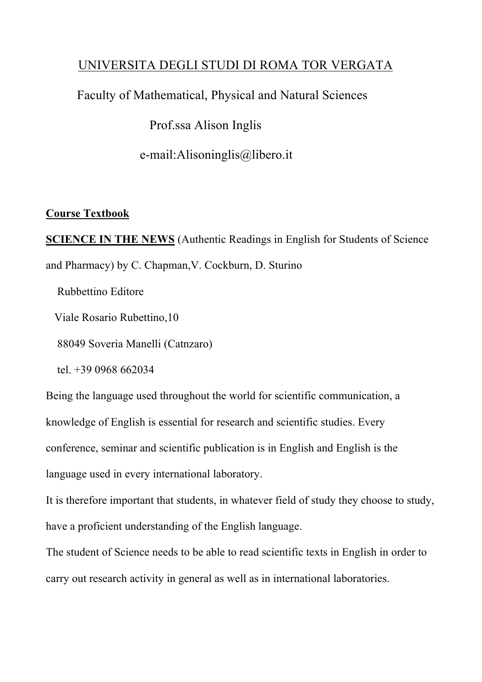### UNIVERSITA DEGLI STUDI DI ROMA TOR VERGATA

## Faculty of Mathematical, Physical and Natural Sciences

Prof.ssa Alison Inglis

e-mail:Alisoninglis@libero.it

#### **Course Textbook**

**SCIENCE IN THE NEWS** (Authentic Readings in English for Students of Science and Pharmacy) by C. Chapman,V. Cockburn, D. Sturino

Rubbettino Editore

Viale Rosario Rubettino,10

88049 Soveria Manelli (Catnzaro)

tel. +39 0968 662034

Being the language used throughout the world for scientific communication, a knowledge of English is essential for research and scientific studies. Every conference, seminar and scientific publication is in English and English is the language used in every international laboratory.

It is therefore important that students, in whatever field of study they choose to study, have a proficient understanding of the English language.

The student of Science needs to be able to read scientific texts in English in order to carry out research activity in general as well as in international laboratories.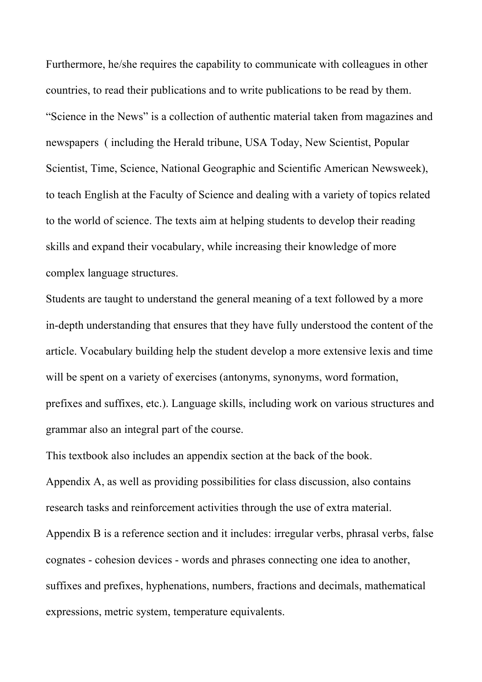Furthermore, he/she requires the capability to communicate with colleagues in other countries, to read their publications and to write publications to be read by them. "Science in the News" is a collection of authentic material taken from magazines and newspapers ( including the Herald tribune, USA Today, New Scientist, Popular Scientist, Time, Science, National Geographic and Scientific American Newsweek), to teach English at the Faculty of Science and dealing with a variety of topics related to the world of science. The texts aim at helping students to develop their reading skills and expand their vocabulary, while increasing their knowledge of more complex language structures.

Students are taught to understand the general meaning of a text followed by a more in-depth understanding that ensures that they have fully understood the content of the article. Vocabulary building help the student develop a more extensive lexis and time will be spent on a variety of exercises (antonyms, synonyms, word formation, prefixes and suffixes, etc.). Language skills, including work on various structures and grammar also an integral part of the course.

This textbook also includes an appendix section at the back of the book.

Appendix A, as well as providing possibilities for class discussion, also contains research tasks and reinforcement activities through the use of extra material. Appendix B is a reference section and it includes: irregular verbs, phrasal verbs, false cognates - cohesion devices - words and phrases connecting one idea to another, suffixes and prefixes, hyphenations, numbers, fractions and decimals, mathematical expressions, metric system, temperature equivalents.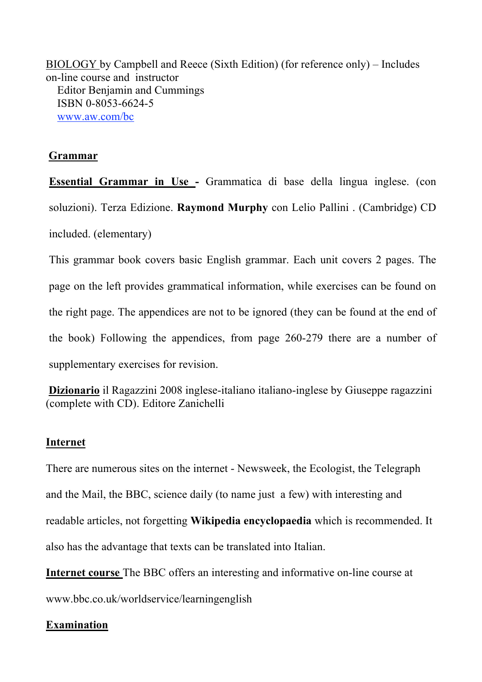BIOLOGY by Campbell and Reece (Sixth Edition) (for reference only) – Includes on-line course and instructor Editor Benjamin and Cummings ISBN 0-8053-6624-5 www.aw.com/bc

#### **Grammar**

**Essential Grammar in Use -** Grammatica di base della lingua inglese. (con soluzioni). Terza Edizione. **Raymond Murphy** con Lelio Pallini . (Cambridge) CD included. (elementary)

This grammar book covers basic English grammar. Each unit covers 2 pages. The page on the left provides grammatical information, while exercises can be found on the right page. The appendices are not to be ignored (they can be found at the end of the book) Following the appendices, from page 260-279 there are a number of supplementary exercises for revision.

**Dizionario** il Ragazzini 2008 inglese-italiano italiano-inglese by Giuseppe ragazzini (complete with CD). Editore Zanichelli

#### **Internet**

There are numerous sites on the internet - Newsweek, the Ecologist, the Telegraph and the Mail, the BBC, science daily (to name just a few) with interesting and readable articles, not forgetting **Wikipedia encyclopaedia** which is recommended. It also has the advantage that texts can be translated into Italian.

**Internet course** The BBC offers an interesting and informative on-line course at

www.bbc.co.uk/worldservice/learningenglish

#### **Examination**